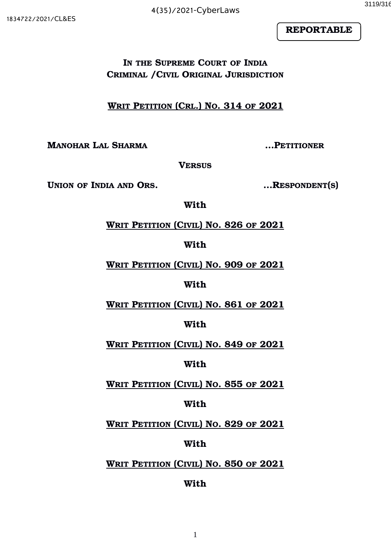

**IN THE SUPREME COURT OF INDIA CRIMINAL /CIVIL ORIGINAL JURISDICTION**

 **WRIT PETITION (CRL.) NO. 314 OF 2021**

**MANOHAR LAL SHARMA …PETITIONER**

**VERSUS**

**UNION OF INDIA AND ORS. …RESPONDENT(S)**

**With**

 **WRIT PETITION (CIVIL) NO. 826 OF 2021**

**With**

 **WRIT PETITION (CIVIL) NO. 909 OF 2021**

**With**

 **WRIT PETITION (CIVIL) NO. 861 OF 2021**

# **With**

 **WRIT PETITION (CIVIL) NO. 849 OF 2021**

## **With**

 **WRIT PETITION (CIVIL) NO. 855 OF 2021**

# **With**

 **WRIT PETITION (CIVIL) NO. 829 OF 2021**

# **With**

# **WRIT PETITION (CIVIL) NO. 850 OF 2021**

# **With**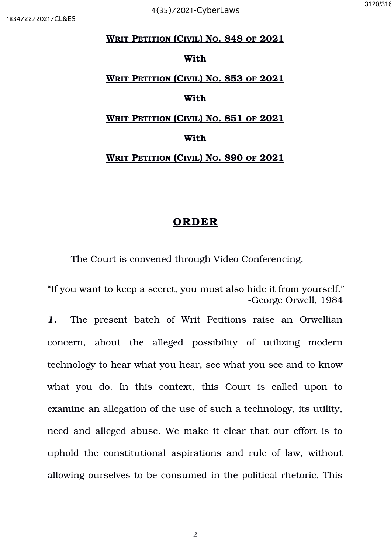#### **WRIT PETITION (CIVIL) NO. 848 OF 2021**

#### **With**

# **WRIT PETITION (CIVIL) NO. 853 OF 2021**

## **With**

#### **WRIT PETITION (CIVIL) NO. 851 OF 2021**

#### **With**

#### **WRIT PETITION (CIVIL) NO. 890 OF 2021**

### **ORDER**

The Court is convened through Video Conferencing.

"If you want to keep a secret, you must also hide it from yourself." George Orwell, 1984

1. The present batch of Writ Petitions raise an Orwellian concern, about the alleged possibility of utilizing modern technology to hear what you hear, see what you see and to know what you do. In this context, this Court is called upon to examine an allegation of the use of such a technology, its utility, need and alleged abuse. We make it clear that our effort is to uphold the constitutional aspirations and rule of law, without allowing ourselves to be consumed in the political rhetoric. This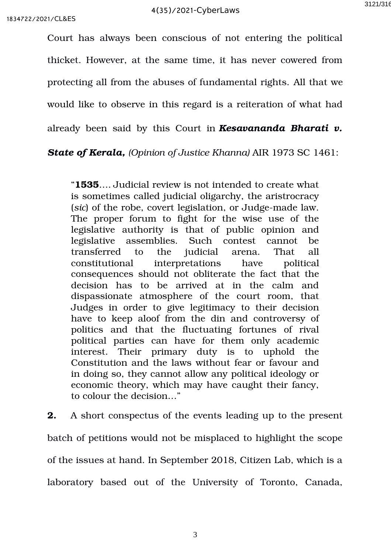Court has always been conscious of not entering the political thicket. However, at the same time, it has never cowered from protecting all from the abuses of fundamental rights. All that we would like to observe in this regard is a reiteration of what had already been said by this Court in *Kesavananda Bharati v.*

*State of Kerala, (Opinion of Justice Khanna)* AIR 1973 SC 1461:

"**1535**…. Judicial review is not intended to create what is sometimes called judicial oligarchy, the aristrocracy (*sic*) of the robe, covert legislation, or Judge-made law. The proper forum to fight for the wise use of the legislative authority is that of public opinion and legislative assemblies. Such contest cannot be transferred to the judicial arena. That all constitutional interpretations have political consequences should not obliterate the fact that the decision has to be arrived at in the calm and dispassionate atmosphere of the court room, that Judges in order to give legitimacy to their decision have to keep aloof from the din and controversy of politics and that the fluctuating fortunes of rival political parties can have for them only academic interest. Their primary duty is to uphold the Constitution and the laws without fear or favour and in doing so, they cannot allow any political ideology or economic theory, which may have caught their fancy, to colour the decision…"

**2.** A short conspectus of the events leading up to the present batch of petitions would not be misplaced to highlight the scope of the issues at hand. In September 2018, Citizen Lab, which is a laboratory based out of the University of Toronto, Canada,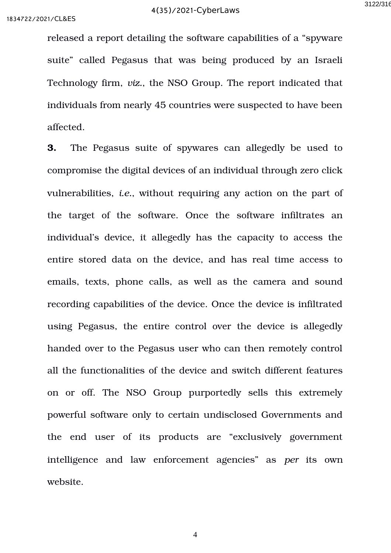released a report detailing the software capabilities of a "spyware suite" called Pegasus that was being produced by an Israeli Technology firm, *viz.*, the NSO Group. The report indicated that individuals from nearly 45 countries were suspected to have been affected.

**3.** The Pegasus suite of spywares can allegedly be used to compromise the digital devices of an individual through zero click vulnerabilities, *i.e.*, without requiring any action on the part of the target of the software. Once the software infiltrates an individual's device, it allegedly has the capacity to access the entire stored data on the device, and has real time access to emails, texts, phone calls, as well as the camera and sound recording capabilities of the device. Once the device is infiltrated using Pegasus, the entire control over the device is allegedly handed over to the Pegasus user who can then remotely control all the functionalities of the device and switch different features on or off. The NSO Group purportedly sells this extremely powerful software only to certain undisclosed Governments and the end user of its products are "exclusively government intelligence and law enforcement agencies" as *per* its own website.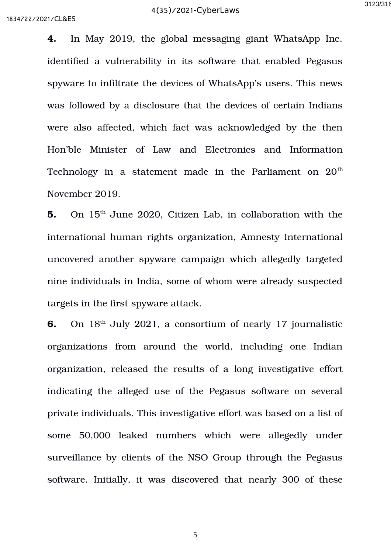**4.** In May 2019, the global messaging giant WhatsApp Inc. identified a vulnerability in its software that enabled Pegasus spyware to infiltrate the devices of WhatsApp's users. This news was followed by a disclosure that the devices of certain Indians were also affected, which fact was acknowledged by the then Hon'ble Minister of Law and Electronics and Information Technology in a statement made in the Parliament on  $20<sup>th</sup>$ November 2019.

**5.** On 15<sup>th</sup> June 2020, Citizen Lab, in collaboration with the international human rights organization, Amnesty International uncovered another spyware campaign which allegedly targeted nine individuals in India, some of whom were already suspected targets in the first spyware attack.

**6.** On 18<sup>th</sup> July 2021, a consortium of nearly 17 journalistic organizations from around the world, including one Indian organization, released the results of a long investigative effort indicating the alleged use of the Pegasus software on several private individuals. This investigative effort was based on a list of some 50,000 leaked numbers which were allegedly under surveillance by clients of the NSO Group through the Pegasus software. Initially, it was discovered that nearly 300 of these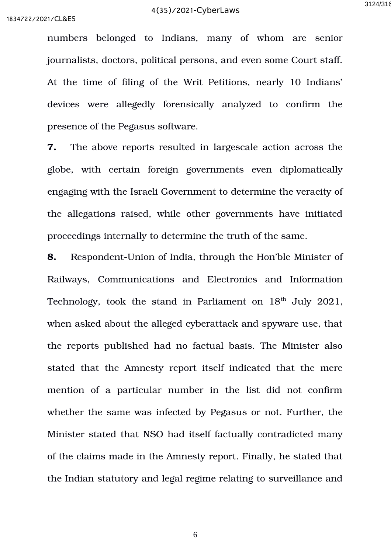numbers belonged to Indians, many of whom are senior journalists, doctors, political persons, and even some Court staff. At the time of filing of the Writ Petitions, nearly 10 Indians' devices were allegedly forensically analyzed to confirm the presence of the Pegasus software.

**7.** The above reports resulted in largescale action across the globe, with certain foreign governments even diplomatically engaging with the Israeli Government to determine the veracity of the allegations raised, while other governments have initiated proceedings internally to determine the truth of the same.

**8.** Respondent-Union of India, through the Hon'ble Minister of Railways, Communications and Electronics and Information Technology, took the stand in Parliament on  $18<sup>th</sup>$  July 2021, when asked about the alleged cyberattack and spyware use, that the reports published had no factual basis. The Minister also stated that the Amnesty report itself indicated that the mere mention of a particular number in the list did not confirm whether the same was infected by Pegasus or not. Further, the Minister stated that NSO had itself factually contradicted many of the claims made in the Amnesty report. Finally, he stated that the Indian statutory and legal regime relating to surveillance and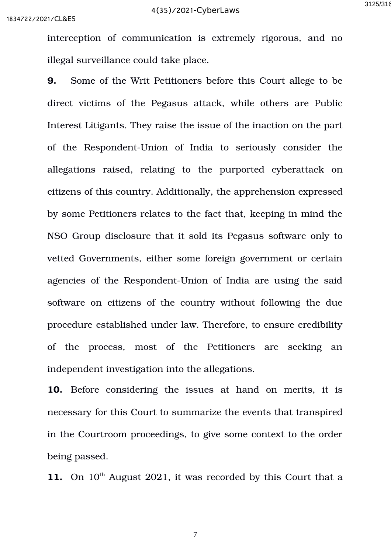interception of communication is extremely rigorous, and no illegal surveillance could take place.

**9.** Some of the Writ Petitioners before this Court allege to be direct victims of the Pegasus attack, while others are Public Interest Litigants. They raise the issue of the inaction on the part of the Respondent-Union of India to seriously consider the allegations raised, relating to the purported cyberattack on citizens of this country. Additionally, the apprehension expressed by some Petitioners relates to the fact that, keeping in mind the NSO Group disclosure that it sold its Pegasus software only to vetted Governments, either some foreign government or certain agencies of the Respondent-Union of India are using the said software on citizens of the country without following the due procedure established under law. Therefore, to ensure credibility of the process, most of the Petitioners are seeking an independent investigation into the allegations.

10. Before considering the issues at hand on merits, it is necessary for this Court to summarize the events that transpired in the Courtroom proceedings, to give some context to the order being passed.

11. On 10<sup>th</sup> August 2021, it was recorded by this Court that a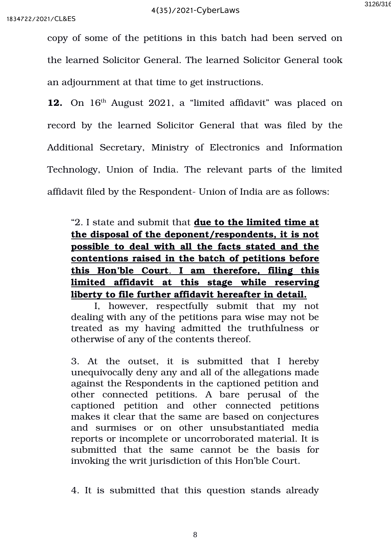copy of some of the petitions in this batch had been served on the learned Solicitor General. The learned Solicitor General took an adjournment at that time to get instructions.

12. On 16<sup>th</sup> August 2021, a "limited affidavit" was placed on record by the learned Solicitor General that was filed by the Additional Secretary, Ministry of Electronics and Information Technology, Union of India. The relevant parts of the limited affidavit filed by the Respondent- Union of India are as follows:

"2. I state and submit that **due to the limited time at the disposal of the deponent/respondents, it is not possible to deal with all the facts stated and the contentions raised in the batch of petitions before this Hon'ble Court**  . **I am therefore, filing this limited affidavit at this stage while reserving liberty to file further affidavit hereafter in detail.**

I, however, respectfully submit that my not dealing with any of the petitions para wise may not be treated as my having admitted the truthfulness or otherwise of any of the contents thereof.

3. At the outset, it is submitted that I hereby unequivocally deny any and all of the allegations made against the Respondents in the captioned petition and other connected petitions. A bare perusal of the captioned petition and other connected petitions makes it clear that the same are based on conjectures and surmises or on other unsubstantiated media reports or incomplete or uncorroborated material. It is submitted that the same cannot be the basis for invoking the writ jurisdiction of this Hon'ble Court.

4. It is submitted that this question stands already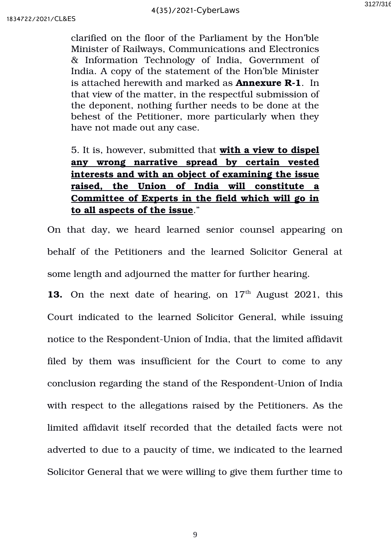clarified on the floor of the Parliament by the Hon'ble Minister of Railways, Communications and Electronics & Information Technology of India, Government of India. A copy of the statement of the Hon'ble Minister is attached herewith and marked as **Annexure R1**. In that view of the matter, in the respectful submission of the deponent, nothing further needs to be done at the behest of the Petitioner, more particularly when they have not made out any case.

# 5. It is, however, submitted that **with a view to dispel any wrong narrative spread by certain vested interests and with an object of examining the issue raised, the Union of India will constitute a Committee of Experts in the field which will go in to all aspects of the issue**."

On that day, we heard learned senior counsel appearing on behalf of the Petitioners and the learned Solicitor General at some length and adjourned the matter for further hearing.

**13.** On the next date of hearing, on  $17<sup>th</sup>$  August 2021, this Court indicated to the learned Solicitor General, while issuing notice to the Respondent-Union of India, that the limited affidavit filed by them was insufficient for the Court to come to any conclusion regarding the stand of the Respondent-Union of India with respect to the allegations raised by the Petitioners. As the limited affidavit itself recorded that the detailed facts were not adverted to due to a paucity of time, we indicated to the learned Solicitor General that we were willing to give them further time to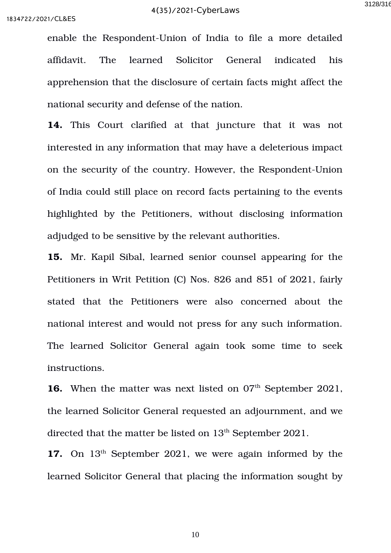enable the Respondent-Union of India to file a more detailed affidavit. The learned Solicitor General indicated his apprehension that the disclosure of certain facts might affect the national security and defense of the nation.

14. This Court clarified at that juncture that it was not interested in any information that may have a deleterious impact on the security of the country. However, the Respondent-Union of India could still place on record facts pertaining to the events highlighted by the Petitioners, without disclosing information adjudged to be sensitive by the relevant authorities.

**15.** Mr. Kapil Sibal, learned senior counsel appearing for the Petitioners in Writ Petition (C) Nos. 826 and 851 of 2021, fairly stated that the Petitioners were also concerned about the national interest and would not press for any such information. The learned Solicitor General again took some time to seek instructions.

**16.** When the matter was next listed on 07<sup>th</sup> September 2021, the learned Solicitor General requested an adjournment, and we directed that the matter be listed on 13<sup>th</sup> September 2021.

17. On 13<sup>th</sup> September 2021, we were again informed by the learned Solicitor General that placing the information sought by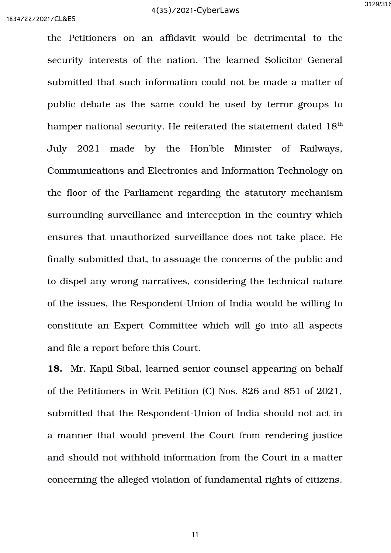the Petitioners on an affidavit would be detrimental to the security interests of the nation. The learned Solicitor General submitted that such information could not be made a matter of public debate as the same could be used by terror groups to hamper national security. He reiterated the statement dated  $18<sup>th</sup>$ July 2021 made by the Hon'ble Minister of Railways, Communications and Electronics and Information Technology on the floor of the Parliament regarding the statutory mechanism surrounding surveillance and interception in the country which ensures that unauthorized surveillance does not take place. He finally submitted that, to assuage the concerns of the public and to dispel any wrong narratives, considering the technical nature of the issues, the Respondent-Union of India would be willing to constitute an Expert Committee which will go into all aspects and file a report before this Court.

**18.** Mr. Kapil Sibal, learned senior counsel appearing on behalf of the Petitioners in Writ Petition (C) Nos. 826 and 851 of 2021, submitted that the Respondent-Union of India should not act in a manner that would prevent the Court from rendering justice and should not withhold information from the Court in a matter concerning the alleged violation of fundamental rights of citizens.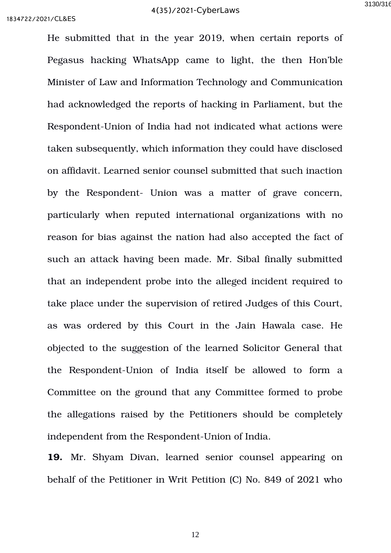He submitted that in the year 2019, when certain reports of Pegasus hacking WhatsApp came to light, the then Hon'ble Minister of Law and Information Technology and Communication had acknowledged the reports of hacking in Parliament, but the Respondent-Union of India had not indicated what actions were taken subsequently, which information they could have disclosed on affidavit. Learned senior counsel submitted that such inaction by the Respondent- Union was a matter of grave concern, particularly when reputed international organizations with no reason for bias against the nation had also accepted the fact of such an attack having been made. Mr. Sibal finally submitted that an independent probe into the alleged incident required to take place under the supervision of retired Judges of this Court, as was ordered by this Court in the Jain Hawala case. He objected to the suggestion of the learned Solicitor General that the Respondent-Union of India itself be allowed to form a Committee on the ground that any Committee formed to probe the allegations raised by the Petitioners should be completely independent from the Respondent-Union of India.

**19.** Mr. Shyam Divan, learned senior counsel appearing on behalf of the Petitioner in Writ Petition (C) No. 849 of 2021 who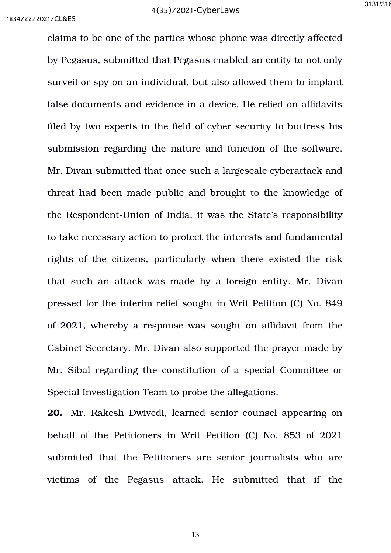claims to be one of the parties whose phone was directly affected by Pegasus, submitted that Pegasus enabled an entity to not only surveil or spy on an individual, but also allowed them to implant false documents and evidence in a device. He relied on affidavits filed by two experts in the field of cyber security to buttress his submission regarding the nature and function of the software. Mr. Divan submitted that once such a largescale cyberattack and threat had been made public and brought to the knowledge of the Respondent-Union of India, it was the State's responsibility to take necessary action to protect the interests and fundamental rights of the citizens, particularly when there existed the risk that such an attack was made by a foreign entity. Mr. Divan pressed for the interim relief sought in Writ Petition (C) No. 849 of 2021, whereby a response was sought on affidavit from the Cabinet Secretary. Mr. Divan also supported the prayer made by Mr. Sibal regarding the constitution of a special Committee or Special Investigation Team to probe the allegations.

**20.** Mr. Rakesh Dwivedi, learned senior counsel appearing on behalf of the Petitioners in Writ Petition (C) No. 853 of 2021 submitted that the Petitioners are senior journalists who are victims of the Pegasus attack. He submitted that if the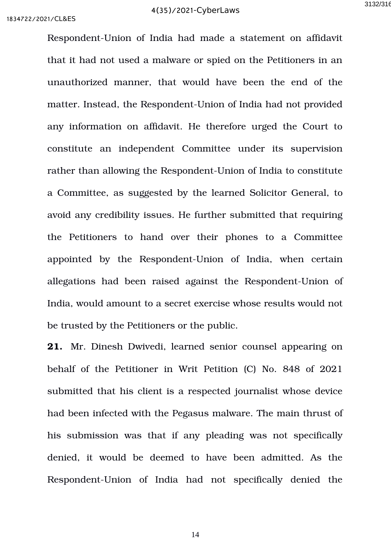Respondent-Union of India had made a statement on affidavit that it had not used a malware or spied on the Petitioners in an unauthorized manner, that would have been the end of the matter. Instead, the Respondent-Union of India had not provided any information on affidavit. He therefore urged the Court to constitute an independent Committee under its supervision rather than allowing the Respondent-Union of India to constitute a Committee, as suggested by the learned Solicitor General, to avoid any credibility issues. He further submitted that requiring the Petitioners to hand over their phones to a Committee appointed by the Respondent-Union of India, when certain allegations had been raised against the Respondent-Union of India, would amount to a secret exercise whose results would not be trusted by the Petitioners or the public.

**21.** Mr. Dinesh Dwivedi, learned senior counsel appearing on behalf of the Petitioner in Writ Petition (C) No. 848 of 2021 submitted that his client is a respected journalist whose device had been infected with the Pegasus malware. The main thrust of his submission was that if any pleading was not specifically denied, it would be deemed to have been admitted. As the Respondent-Union of India had not specifically denied the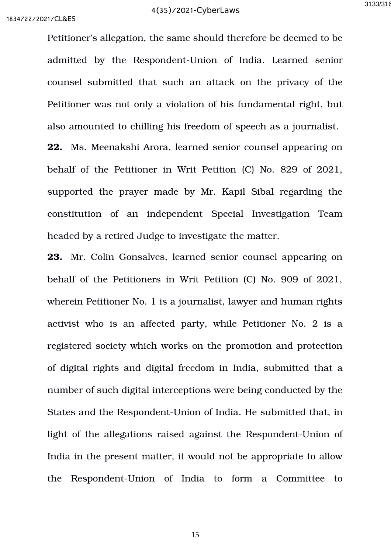Petitioner's allegation, the same should therefore be deemed to be admitted by the Respondent-Union of India. Learned senior counsel submitted that such an attack on the privacy of the Petitioner was not only a violation of his fundamental right, but also amounted to chilling his freedom of speech as a journalist. **22.** Ms. Meenakshi Arora, learned senior counsel appearing on behalf of the Petitioner in Writ Petition (C) No. 829 of 2021, supported the prayer made by Mr. Kapil Sibal regarding the constitution of an independent Special Investigation Team

headed by a retired Judge to investigate the matter.

**23.** Mr. Colin Gonsalves, learned senior counsel appearing on behalf of the Petitioners in Writ Petition (C) No. 909 of 2021, wherein Petitioner No. 1 is a journalist, lawyer and human rights activist who is an affected party, while Petitioner No. 2 is a registered society which works on the promotion and protection of digital rights and digital freedom in India, submitted that a number of such digital interceptions were being conducted by the States and the Respondent-Union of India. He submitted that, in light of the allegations raised against the Respondent-Union of India in the present matter, it would not be appropriate to allow the Respondent-Union of India to form a Committee to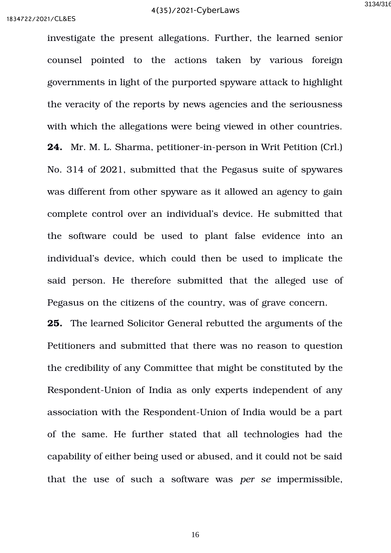investigate the present allegations. Further, the learned senior counsel pointed to the actions taken by various foreign governments in light of the purported spyware attack to highlight the veracity of the reports by news agencies and the seriousness with which the allegations were being viewed in other countries. **24.** Mr. M. L. Sharma, petitioner-in-person in Writ Petition (Crl.) No. 314 of 2021, submitted that the Pegasus suite of spywares was different from other spyware as it allowed an agency to gain complete control over an individual's device. He submitted that the software could be used to plant false evidence into an individual's device, which could then be used to implicate the said person. He therefore submitted that the alleged use of Pegasus on the citizens of the country, was of grave concern.

**25.** The learned Solicitor General rebutted the arguments of the Petitioners and submitted that there was no reason to question the credibility of any Committee that might be constituted by the Respondent-Union of India as only experts independent of any association with the Respondent-Union of India would be a part of the same. He further stated that all technologies had the capability of either being used or abused, and it could not be said that the use of such a software was *per se* impermissible,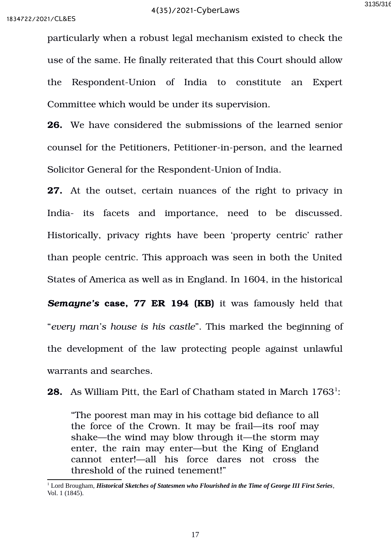particularly when a robust legal mechanism existed to check the use of the same. He finally reiterated that this Court should allow the Respondent-Union of India to constitute an Expert Committee which would be under its supervision.

**26.** We have considered the submissions of the learned senior counsel for the Petitioners, Petitioner-in-person, and the learned Solicitor General for the Respondent-Union of India.

**27.** At the outset, certain nuances of the right to privacy in India- its facets and importance, need to be discussed. Historically, privacy rights have been 'property centric' rather than people centric. This approach was seen in both the United States of America as well as in England. In 1604, in the historical **Semayne's case, 77 ER 194 (KB)** it was famously held that "*every man's house is his castle*". This marked the beginning of the development of the law protecting people against unlawful warrants and searches.

**28.** As William Pitt, the Earl of Chatham stated in March [1](#page-16-0)763<sup>1</sup>:

"The poorest man may in his cottage bid defiance to all the force of the Crown. It may be frail—its roof may shake—the wind may blow through it—the storm may enter, the rain may enter—but the King of England cannot enter!—all his force dares not cross the threshold of the ruined tenement!"

<span id="page-16-0"></span><sup>1</sup> Lord Brougham, *Historical Sketches of Statesmen who Flourished in the Time of George III First Series*, Vol. 1 (1845).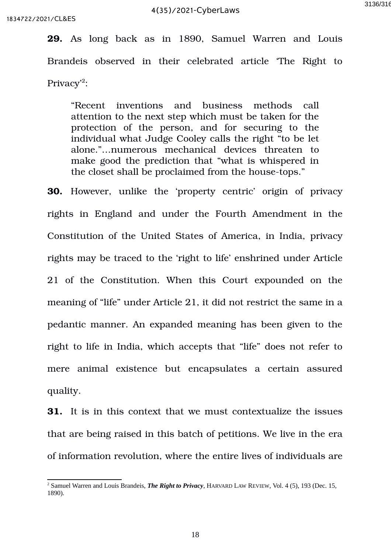**29.** As long back as in 1890, Samuel Warren and Louis Brandeis observed in their celebrated article The Right to Privacy'<sup>[2](#page-17-0)</sup>:

"Recent inventions and business methods call attention to the next step which must be taken for the protection of the person, and for securing to the individual what Judge Cooley calls the right "to be let alone."…numerous mechanical devices threaten to make good the prediction that "what is whispered in the closet shall be proclaimed from the house-tops."

**30.** However, unlike the 'property centric' origin of privacy rights in England and under the Fourth Amendment in the Constitution of the United States of America, in India, privacy rights may be traced to the 'right to life' enshrined under Article 21 of the Constitution. When this Court expounded on the meaning of "life" under Article 21, it did not restrict the same in a pedantic manner. An expanded meaning has been given to the right to life in India, which accepts that "life" does not refer to mere animal existence but encapsulates a certain assured quality.

**31.** It is in this context that we must contextualize the issues that are being raised in this batch of petitions. We live in the era of information revolution, where the entire lives of individuals are

<span id="page-17-0"></span><sup>2</sup> Samuel Warren and Louis Brandeis, *The Right to Privacy*, HARVARD LAW REVIEW, Vol. 4 (5), 193 (Dec. 15, 1890).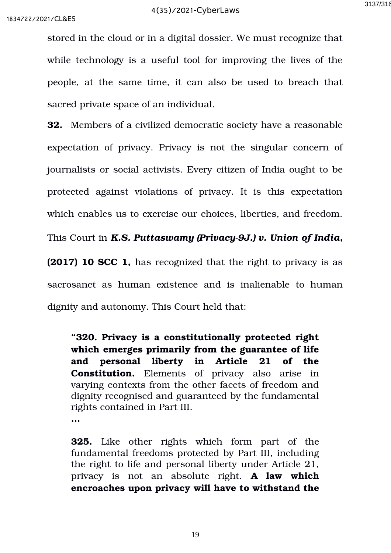stored in the cloud or in a digital dossier. We must recognize that while technology is a useful tool for improving the lives of the people, at the same time, it can also be used to breach that sacred private space of an individual.

**32.** Members of a civilized democratic society have a reasonable expectation of privacy. Privacy is not the singular concern of journalists or social activists. Every citizen of India ought to be protected against violations of privacy. It is this expectation which enables us to exercise our choices, liberties, and freedom.

This Court in *K.S. Puttaswamy (Privacy9J.) v. Union of India***,**

**(2017) 10 SCC 1,** has recognized that the right to privacy is as sacrosanct as human existence and is inalienable to human dignity and autonomy. This Court held that:

**"320. Privacy is a constitutionally protected right which emerges primarily from the guarantee of life and personal liberty in Article 21 of the Constitution.** Elements of privacy also arise in varying contexts from the other facets of freedom and dignity recognised and guaranteed by the fundamental rights contained in Part III.

**…**

**325.** Like other rights which form part of the fundamental freedoms protected by Part III, including the right to life and personal liberty under Article 21, privacy is not an absolute right. **A law which encroaches upon privacy will have to withstand the**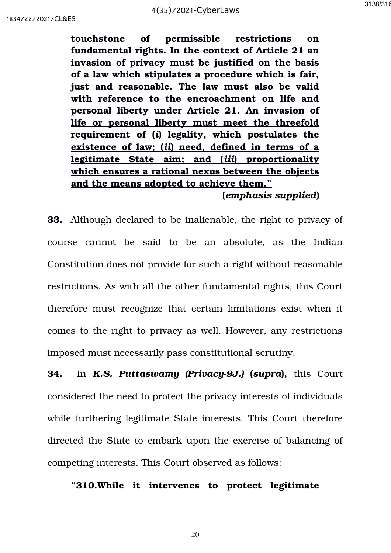**touchstone of permissible restrictions on fundamental rights. In the context of Article 21 an invasion of privacy must be justified on the basis of a law which stipulates a procedure which is fair, just and reasonable. The law must also be valid with reference to the encroachment on life and personal liberty under Article 21. An invasion of life or personal liberty must meet the threefold requirement of (** *i***) legality, which postulates the existence of law; (** *ii***) need, defined in terms of a legitimate State aim; and (** *iii***) proportionality which ensures a rational nexus between the objects and the means adopted to achieve them." (***emphasis supplied***)**

**33.** Although declared to be inalienable, the right to privacy of course cannot be said to be an absolute, as the Indian Constitution does not provide for such a right without reasonable restrictions. As with all the other fundamental rights, this Court therefore must recognize that certain limitations exist when it comes to the right to privacy as well. However, any restrictions imposed must necessarily pass constitutional scrutiny.

**34.** In *K.S. Puttaswamy (Privacy-9J.) (supra)*, this Court considered the need to protect the privacy interests of individuals while furthering legitimate State interests. This Court therefore directed the State to embark upon the exercise of balancing of competing interests. This Court observed as follows:

**"310.While it intervenes to protect legitimate**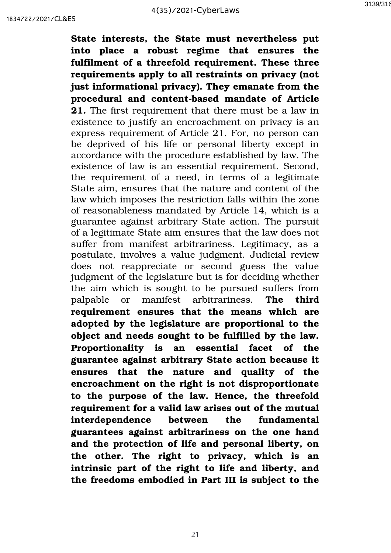**State interests, the State must nevertheless put into place a robust regime that ensures the fulfilment of a threefold requirement. These three requirements apply to all restraints on privacy (not just informational privacy). They emanate from the** procedural and content-based mandate of Article **21.** The first requirement that there must be a law in existence to justify an encroachment on privacy is an express requirement of Article 21. For, no person can be deprived of his life or personal liberty except in accordance with the procedure established by law. The existence of law is an essential requirement. Second, the requirement of a need, in terms of a legitimate State aim, ensures that the nature and content of the law which imposes the restriction falls within the zone of reasonableness mandated by Article 14, which is a guarantee against arbitrary State action. The pursuit of a legitimate State aim ensures that the law does not suffer from manifest arbitrariness. Legitimacy, as a postulate, involves a value judgment. Judicial review does not reappreciate or second guess the value judgment of the legislature but is for deciding whether the aim which is sought to be pursued suffers from palpable or manifest arbitrariness. **The third requirement ensures that the means which are adopted by the legislature are proportional to the object and needs sought to be fulfilled by the law. Proportionality is an essential facet of the guarantee against arbitrary State action because it ensures that the nature and quality of the encroachment on the right is not disproportionate to the purpose of the law. Hence, the threefold requirement for a valid law arises out of the mutual interdependence between the fundamental guarantees against arbitrariness on the one hand and the protection of life and personal liberty, on the other. The right to privacy, which is an intrinsic part of the right to life and liberty, and the freedoms embodied in Part III is subject to the**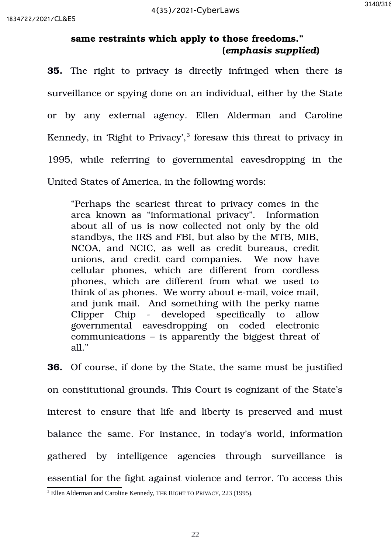## **same restraints which apply to those freedoms." (***emphasis supplied***)**

**35.** The right to privacy is directly infringed when there is surveillance or spying done on an individual, either by the State or by any external agency. Ellen Alderman and Caroline Kennedy, in 'Right to Privacy', $3$  foresaw this threat to privacy in 1995, while referring to governmental eavesdropping in the United States of America, in the following words:

"Perhaps the scariest threat to privacy comes in the area known as "informational privacy". Information about all of us is now collected not only by the old standbys, the IRS and FBI, but also by the MTB, MIB, NCOA, and NCIC, as well as credit bureaus, credit unions, and credit card companies. We now have cellular phones, which are different from cordless phones, which are different from what we used to think of as phones. We worry about e-mail, voice mail, and junk mail. And something with the perky name Clipper Chip - developed specifically to allow governmental eavesdropping on coded electronic communications – is apparently the biggest threat of all."

**36.** Of course, if done by the State, the same must be justified on constitutional grounds. This Court is cognizant of the State's interest to ensure that life and liberty is preserved and must balance the same. For instance, in today's world, information gathered by intelligence agencies through surveillance is essential for the fight against violence and terror. To access this

<span id="page-21-0"></span> $3$  Ellen Alderman and Caroline Kennedy, THE RIGHT TO PRIVACY, 223 (1995).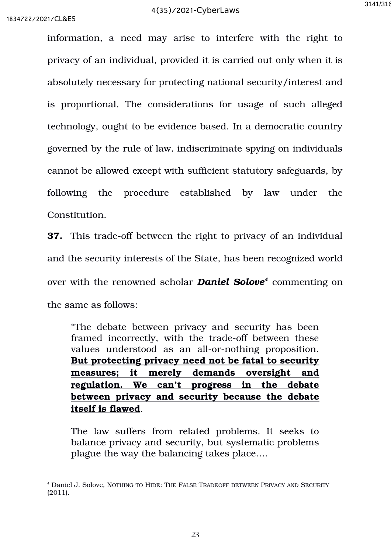information, a need may arise to interfere with the right to privacy of an individual, provided it is carried out only when it is absolutely necessary for protecting national security/interest and is proportional. The considerations for usage of such alleged technology, ought to be evidence based. In a democratic country governed by the rule of law, indiscriminate spying on individuals cannot be allowed except with sufficient statutory safeguards, by following the procedure established by law under the Constitution.

**37.** This trade-off between the right to privacy of an individual and the security interests of the State, has been recognized world over with the renowned scholar *Daniel Solove[4](#page-22-0)* commenting on the same as follows:

"The debate between privacy and security has been framed incorrectly, with the trade-off between these values understood as an all-or-nothing proposition. **But protecting privacy need not be fatal to security measures; it merely demands oversight and regulation. We can't progress in the debate between privacy and security because the debate itself is flawed**.

The law suffers from related problems. It seeks to balance privacy and security, but systematic problems plague the way the balancing takes place….

<span id="page-22-0"></span><sup>4</sup> Daniel J. Solove, NOTHING TO HIDE: THE FALSE TRADEOFF BETWEEN PRIVACY AND SECURITY (2011).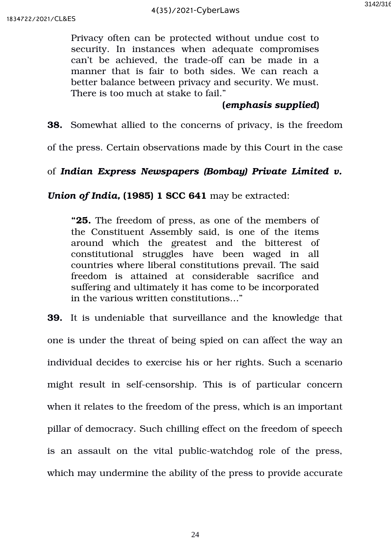Privacy often can be protected without undue cost to security. In instances when adequate compromises can't be achieved, the trade-off can be made in a manner that is fair to both sides. We can reach a better balance between privacy and security. We must. There is too much at stake to fail."

## **(***emphasis supplied***)**

**38.** Somewhat allied to the concerns of privacy, is the freedom

of the press. Certain observations made by this Court in the case

# of *Indian Express Newspapers (Bombay) Private Limited v.*

*Union of India,* **(1985) 1 SCC 641** may be extracted:

**"25.** The freedom of press, as one of the members of the Constituent Assembly said, is one of the items around which the greatest and the bitterest of constitutional struggles have been waged in all countries where liberal constitutions prevail. The said freedom is attained at considerable sacrifice and suffering and ultimately it has come to be incorporated in the various written constitutions…"

**39.** It is undeniable that surveillance and the knowledge that one is under the threat of being spied on can affect the way an individual decides to exercise his or her rights. Such a scenario might result in self-censorship. This is of particular concern when it relates to the freedom of the press, which is an important pillar of democracy. Such chilling effect on the freedom of speech is an assault on the vital public-watchdog role of the press, which may undermine the ability of the press to provide accurate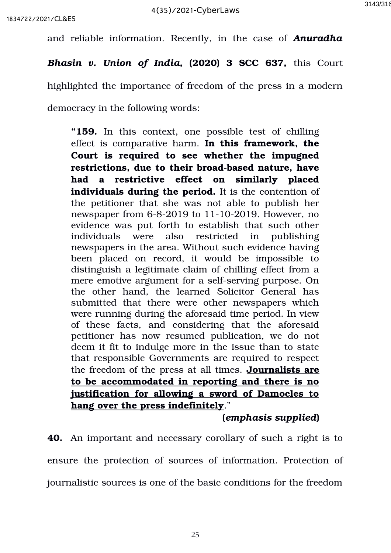and reliable information. Recently, in the case of Anuradha

*Bhasin v. Union of India***, (2020) 3 SCC 637,** this Court

highlighted the importance of freedom of the press in a modern

democracy in the following words:

"159. In this context, one possible test of chilling effect is comparative harm. **In this framework, the Court is required to see whether the impugned** restrictions, due to their broad-based nature, have **had a restrictive effect on similarly placed individuals during the period.** It is the contention of the petitioner that she was not able to publish her newspaper from  $6-8-2019$  to  $11-10-2019$ . However, no evidence was put forth to establish that such other individuals were also restricted in publishing newspapers in the area. Without such evidence having been placed on record, it would be impossible to distinguish a legitimate claim of chilling effect from a mere emotive argument for a self-serving purpose. On the other hand, the learned Solicitor General has submitted that there were other newspapers which were running during the aforesaid time period. In view of these facts, and considering that the aforesaid petitioner has now resumed publication, we do not deem it fit to indulge more in the issue than to state that responsible Governments are required to respect the freedom of the press at all times. **Journalists are to be accommodated in reporting and there is no justification for allowing a sword of Damocles to hang over the press indefinitely**."

**(***emphasis supplied***)**

**40.** An important and necessary corollary of such a right is to ensure the protection of sources of information. Protection of journalistic sources is one of the basic conditions for the freedom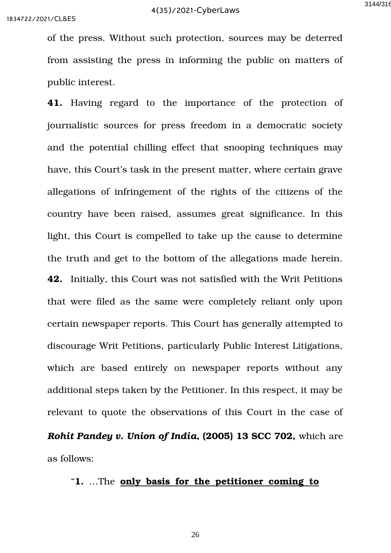of the press. Without such protection, sources may be deterred from assisting the press in informing the public on matters of public interest.

41. Having regard to the importance of the protection of journalistic sources for press freedom in a democratic society and the potential chilling effect that snooping techniques may have, this Court's task in the present matter, where certain grave allegations of infringement of the rights of the citizens of the country have been raised, assumes great significance. In this light, this Court is compelled to take up the cause to determine the truth and get to the bottom of the allegations made herein. **42.** Initially, this Court was not satisfied with the Writ Petitions that were filed as the same were completely reliant only upon certain newspaper reports. This Court has generally attempted to discourage Writ Petitions, particularly Public Interest Litigations, which are based entirely on newspaper reports without any additional steps taken by the Petitioner. In this respect, it may be relevant to quote the observations of this Court in the case of *Rohit Pandey v. Union of India***, (2005) 13 SCC 702,** which are

as follows:

## "**1.** …The **only basis for the petitioner coming to**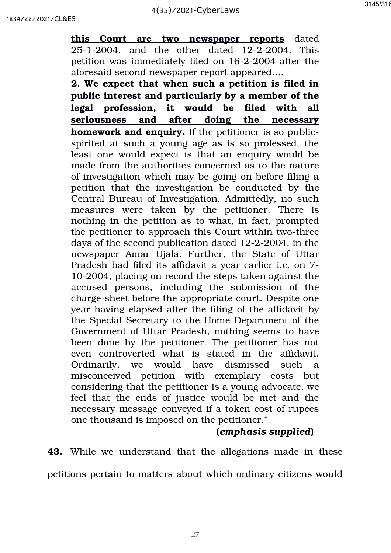**this Court are two newspaper reports** dated 25-1-2004, and the other dated 12-2-2004. This petition was immediately filed on 16-2-2004 after the aforesaid second newspaper report appeared….

**2. We expect that when such a petition is filed in public interest and particularly by a member of the legal profession, it would be filed with all seriousness and after doing the necessary homework and enquiry.** If the petitioner is so publicspirited at such a young age as is so professed, the least one would expect is that an enquiry would be made from the authorities concerned as to the nature of investigation which may be going on before filing a petition that the investigation be conducted by the Central Bureau of Investigation. Admittedly, no such measures were taken by the petitioner. There is nothing in the petition as to what, in fact, prompted the petitioner to approach this Court within two-three days of the second publication dated 12-2-2004, in the newspaper Amar Ujala. Further, the State of Uttar Pradesh had filed its affidavit a year earlier i.e. on 7 102004, placing on record the steps taken against the accused persons, including the submission of the charge-sheet before the appropriate court. Despite one year having elapsed after the filing of the affidavit by the Special Secretary to the Home Department of the Government of Uttar Pradesh, nothing seems to have been done by the petitioner. The petitioner has not even controverted what is stated in the affidavit. Ordinarily, we would have dismissed such a misconceived petition with exemplary costs but considering that the petitioner is a young advocate, we feel that the ends of justice would be met and the necessary message conveyed if a token cost of rupees one thousand is imposed on the petitioner."

# **(***emphasis supplied***)**

**43.** While we understand that the allegations made in these

petitions pertain to matters about which ordinary citizens would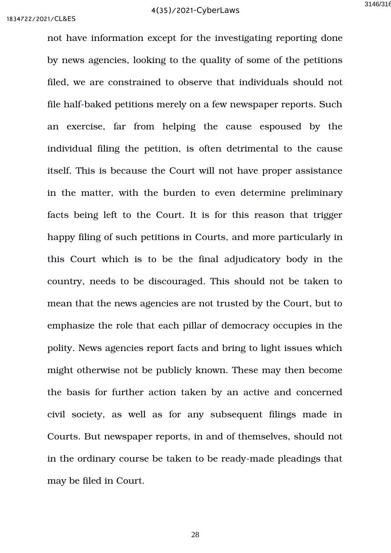not have information except for the investigating reporting done by news agencies, looking to the quality of some of the petitions filed, we are constrained to observe that individuals should not file half-baked petitions merely on a few newspaper reports. Such an exercise, far from helping the cause espoused by the individual filing the petition, is often detrimental to the cause itself. This is because the Court will not have proper assistance in the matter, with the burden to even determine preliminary facts being left to the Court. It is for this reason that trigger happy filing of such petitions in Courts, and more particularly in this Court which is to be the final adjudicatory body in the country, needs to be discouraged. This should not be taken to mean that the news agencies are not trusted by the Court, but to emphasize the role that each pillar of democracy occupies in the polity. News agencies report facts and bring to light issues which might otherwise not be publicly known. These may then become the basis for further action taken by an active and concerned civil society, as well as for any subsequent filings made in Courts. But newspaper reports, in and of themselves, should not in the ordinary course be taken to be ready-made pleadings that may be filed in Court.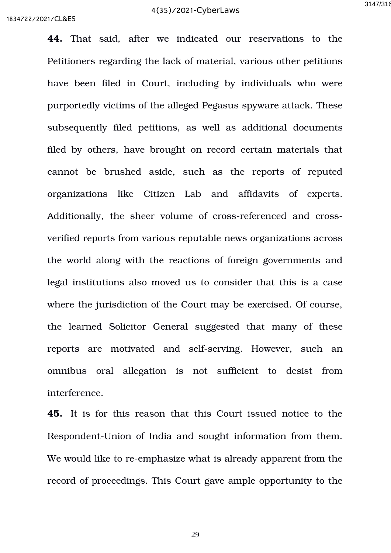**44.** That said, after we indicated our reservations to the Petitioners regarding the lack of material, various other petitions have been filed in Court, including by individuals who were purportedly victims of the alleged Pegasus spyware attack. These subsequently filed petitions, as well as additional documents filed by others, have brought on record certain materials that cannot be brushed aside, such as the reports of reputed organizations like Citizen Lab and affidavits of experts. Additionally, the sheer volume of cross-referenced and crossverified reports from various reputable news organizations across the world along with the reactions of foreign governments and legal institutions also moved us to consider that this is a case where the jurisdiction of the Court may be exercised. Of course, the learned Solicitor General suggested that many of these reports are motivated and self-serving. However, such an omnibus oral allegation is not sufficient to desist from interference.

**45.** It is for this reason that this Court issued notice to the Respondent-Union of India and sought information from them. We would like to re-emphasize what is already apparent from the record of proceedings. This Court gave ample opportunity to the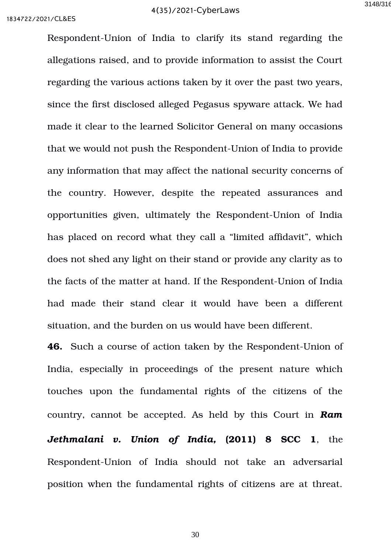Respondent-Union of India to clarify its stand regarding the allegations raised, and to provide information to assist the Court regarding the various actions taken by it over the past two years, since the first disclosed alleged Pegasus spyware attack. We had made it clear to the learned Solicitor General on many occasions that we would not push the Respondent-Union of India to provide any information that may affect the national security concerns of the country. However, despite the repeated assurances and opportunities given, ultimately the Respondent-Union of India has placed on record what they call a "limited affidavit", which does not shed any light on their stand or provide any clarity as to the facts of the matter at hand. If the Respondent-Union of India had made their stand clear it would have been a different situation, and the burden on us would have been different.

**46.** Such a course of action taken by the Respondent-Union of India, especially in proceedings of the present nature which touches upon the fundamental rights of the citizens of the country, cannot be accepted. As held by this Court in *Ram Jethmalani v. Union of India, (2011) 8 SCC 1, the* Respondent-Union of India should not take an adversarial position when the fundamental rights of citizens are at threat.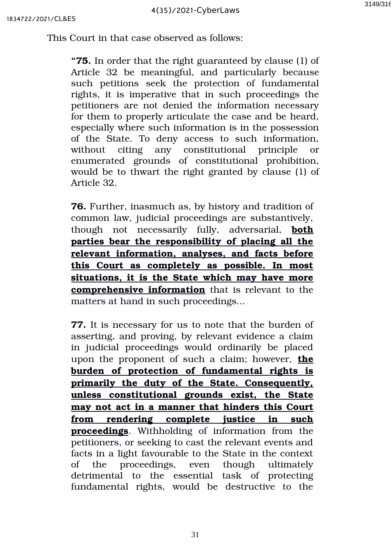This Court in that case observed as follows:

**"75.** In order that the right guaranteed by clause (1) of Article 32 be meaningful, and particularly because such petitions seek the protection of fundamental rights, it is imperative that in such proceedings the petitioners are not denied the information necessary for them to properly articulate the case and be heard, especially where such information is in the possession of the State. To deny access to such information, without citing any constitutional principle or enumerated grounds of constitutional prohibition, would be to thwart the right granted by clause (1) of Article 32.

**76.** Further, inasmuch as, by history and tradition of common law, judicial proceedings are substantively, though not necessarily fully, adversarial, **both parties bear the responsibility of placing all the relevant information, analyses, and facts before this Court as completely as possible. In most situations, it is the State which may have more comprehensive information** that is relevant to the matters at hand in such proceedings...

**77.** It is necessary for us to note that the burden of asserting, and proving, by relevant evidence a claim in judicial proceedings would ordinarily be placed upon the proponent of such a claim; however, **the burden of protection of fundamental rights is primarily the duty of the State. Consequently, unless constitutional grounds exist, the State may not act in a manner that hinders this Court from rendering complete justice in such proceedings**. Withholding of information from the petitioners, or seeking to cast the relevant events and facts in a light favourable to the State in the context of the proceedings, even though ultimately detrimental to the essential task of protecting fundamental rights, would be destructive to the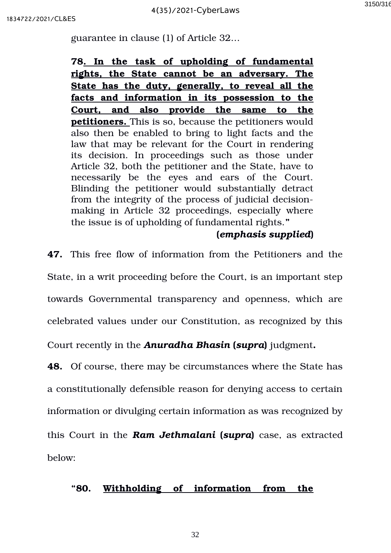guarantee in clause (1) of Article 32…

**78. In the task of upholding of fundamental rights, the State cannot be an adversary. The** State has the duty, generally, to reveal all the **facts and information in its possession to the Court, and also provide the same to the petitioners.** This is so, because the petitioners would also then be enabled to bring to light facts and the law that may be relevant for the Court in rendering its decision. In proceedings such as those under Article 32, both the petitioner and the State, have to necessarily be the eyes and ears of the Court. Blinding the petitioner would substantially detract from the integrity of the process of judicial decisionmaking in Article 32 proceedings, especially where the issue is of upholding of fundamental rights.**"**

#### **(***emphasis supplied***)**

**47.** This free flow of information from the Petitioners and the State, in a writ proceeding before the Court, is an important step towards Governmental transparency and openness, which are celebrated values under our Constitution, as recognized by this

Court recently in the *Anuradha Bhasin* **(***supra***)** judgment**.**

**48.** Of course, there may be circumstances where the State has a constitutionally defensible reason for denying access to certain information or divulging certain information as was recognized by this Court in the *Ram Jethmalani* **(***supra***)** case, as extracted below:

### **"80. Withholding of information from the**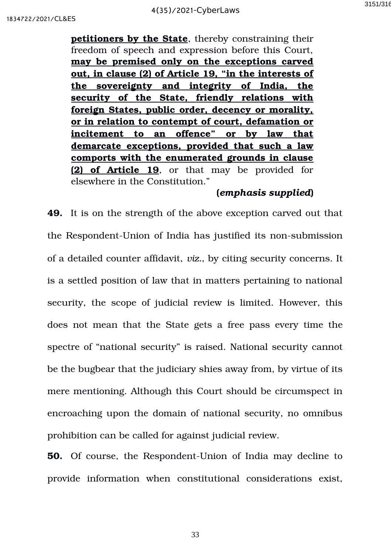**petitioners by the State**, thereby constraining their freedom of speech and expression before this Court, **may be premised only on the exceptions carved out, in clause (2) of Article 19, "in the interests of the sovereignty and integrity of India, the security of the State, friendly relations with foreign States, public order, decency or morality, or in relation to contempt of court, defamation or incitement to an offence" or by law that demarcate exceptions, provided that such a law comports with the enumerated grounds in clause (2) of Article 19**, or that may be provided for elsewhere in the Constitution."

#### **(***emphasis supplied***)**

**49.** It is on the strength of the above exception carved out that the Respondent-Union of India has justified its non-submission of a detailed counter affidavit, *viz.*, by citing security concerns. It is a settled position of law that in matters pertaining to national security, the scope of judicial review is limited. However, this does not mean that the State gets a free pass every time the spectre of "national security" is raised. National security cannot be the bugbear that the judiciary shies away from, by virtue of its mere mentioning. Although this Court should be circumspect in encroaching upon the domain of national security, no omnibus prohibition can be called for against judicial review.

**50.** Of course, the Respondent-Union of India may decline to provide information when constitutional considerations exist,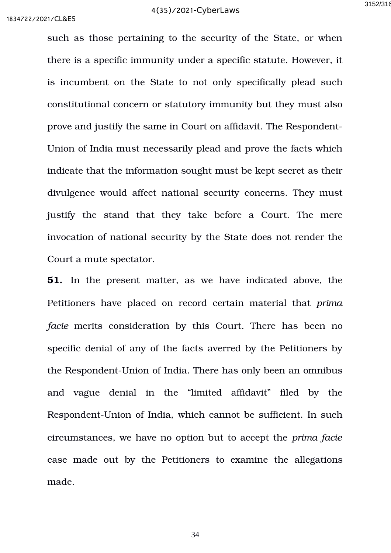such as those pertaining to the security of the State, or when there is a specific immunity under a specific statute. However, it is incumbent on the State to not only specifically plead such constitutional concern or statutory immunity but they must also prove and justify the same in Court on affidavit. The Respondent-Union of India must necessarily plead and prove the facts which indicate that the information sought must be kept secret as their divulgence would affect national security concerns. They must justify the stand that they take before a Court. The mere invocation of national security by the State does not render the Court a mute spectator.

**51.** In the present matter, as we have indicated above, the Petitioners have placed on record certain material that *prima facie* merits consideration by this Court. There has been no specific denial of any of the facts averred by the Petitioners by the Respondent-Union of India. There has only been an omnibus and vague denial in the "limited affidavit" filed by the Respondent-Union of India, which cannot be sufficient. In such circumstances, we have no option but to accept the *prima facie* case made out by the Petitioners to examine the allegations made.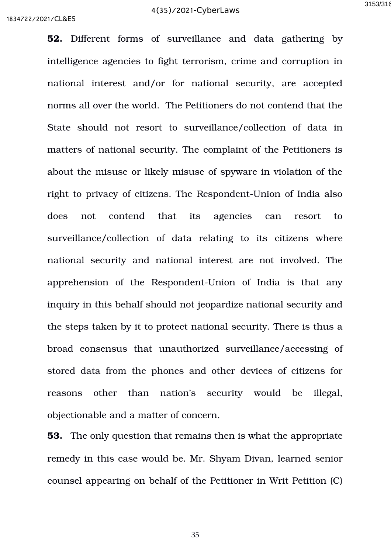**52.** Different forms of surveillance and data gathering by intelligence agencies to fight terrorism, crime and corruption in national interest and/or for national security, are accepted norms all over the world. The Petitioners do not contend that the State should not resort to surveillance/collection of data in matters of national security. The complaint of the Petitioners is about the misuse or likely misuse of spyware in violation of the right to privacy of citizens. The Respondent-Union of India also does not contend that its agencies can resort to surveillance/collection of data relating to its citizens where national security and national interest are not involved. The apprehension of the Respondent-Union of India is that any inquiry in this behalf should not jeopardize national security and the steps taken by it to protect national security. There is thus a broad consensus that unauthorized surveillance/accessing of stored data from the phones and other devices of citizens for reasons other than nation's security would be illegal, objectionable and a matter of concern.

**53.** The only question that remains then is what the appropriate remedy in this case would be. Mr. Shyam Divan, learned senior counsel appearing on behalf of the Petitioner in Writ Petition (C)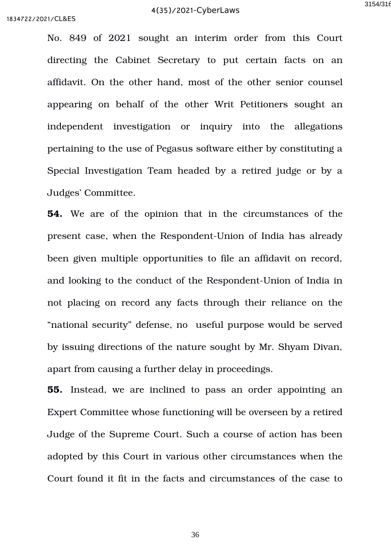No. 849 of 2021 sought an interim order from this Court directing the Cabinet Secretary to put certain facts on an affidavit. On the other hand, most of the other senior counsel appearing on behalf of the other Writ Petitioners sought an independent investigation or inquiry into the allegations pertaining to the use of Pegasus software either by constituting a Special Investigation Team headed by a retired judge or by a Judges' Committee.

**54.** We are of the opinion that in the circumstances of the present case, when the Respondent-Union of India has already been given multiple opportunities to file an affidavit on record, and looking to the conduct of the Respondent-Union of India in not placing on record any facts through their reliance on the "national security" defense, no useful purpose would be served by issuing directions of the nature sought by Mr. Shyam Divan, apart from causing a further delay in proceedings.

**55.** Instead, we are inclined to pass an order appointing an Expert Committee whose functioning will be overseen by a retired Judge of the Supreme Court. Such a course of action has been adopted by this Court in various other circumstances when the Court found it fit in the facts and circumstances of the case to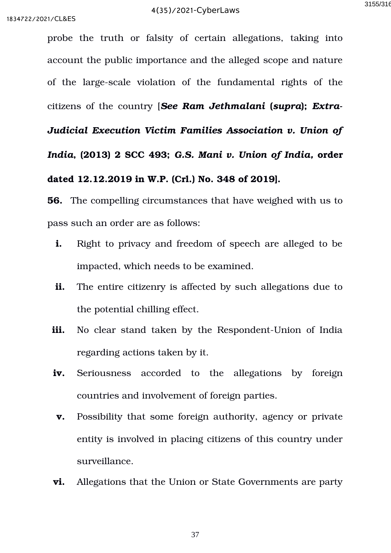probe the truth or falsity of certain allegations, taking into account the public importance and the alleged scope and nature of the large-scale violation of the fundamental rights of the citizens of the country [See Ram Jethmalani (supra); Extra-*Judicial Execution Victim Families Association v. Union of India***, (2013) 2 SCC 493;** *G.S. Mani v. Union of India,* **order dated 12.12.2019 in W.P. (Crl.) No. 348 of 2019].** 

**56.** The compelling circumstances that have weighed with us to pass such an order are as follows:

- **i.** Right to privacy and freedom of speech are alleged to be impacted, which needs to be examined.
- **ii.** The entire citizenry is affected by such allegations due to the potential chilling effect.
- **iii.** No clear stand taken by the Respondent-Union of India regarding actions taken by it.
- **iv.** Seriousness accorded to the allegations by foreign countries and involvement of foreign parties.
- **v.** Possibility that some foreign authority, agency or private entity is involved in placing citizens of this country under surveillance.
- **vi.** Allegations that the Union or State Governments are party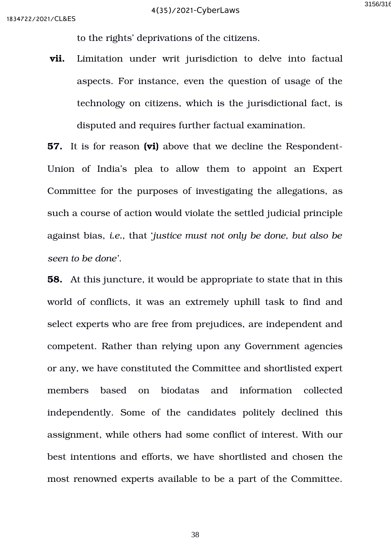to the rights' deprivations of the citizens.

**vii.** Limitation under writ jurisdiction to delve into factual aspects. For instance, even the question of usage of the technology on citizens, which is the jurisdictional fact, is disputed and requires further factual examination.

**57.** It is for reason **(vi)** above that we decline the Respondent-Union of India's plea to allow them to appoint an Expert Committee for the purposes of investigating the allegations, as such a course of action would violate the settled judicial principle against bias, *i.e.*, that '*justice must not only be done, but also be seen to be done'*.

**58.** At this juncture, it would be appropriate to state that in this world of conflicts, it was an extremely uphill task to find and select experts who are free from prejudices, are independent and competent. Rather than relying upon any Government agencies or any, we have constituted the Committee and shortlisted expert members based on biodatas and information collected independently. Some of the candidates politely declined this assignment, while others had some conflict of interest. With our best intentions and efforts, we have shortlisted and chosen the most renowned experts available to be a part of the Committee.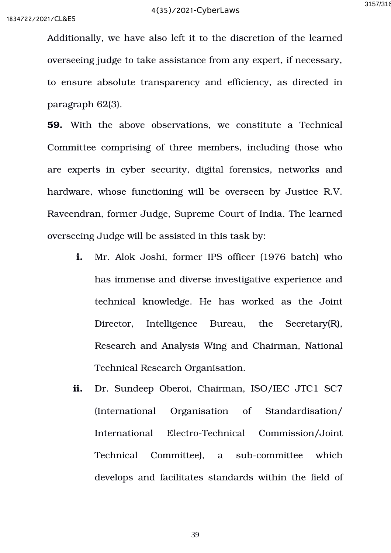Additionally, we have also left it to the discretion of the learned overseeing judge to take assistance from any expert, if necessary, to ensure absolute transparency and efficiency, as directed in paragraph 62(3).

**59.** With the above observations, we constitute a Technical Committee comprising of three members, including those who are experts in cyber security, digital forensics, networks and hardware, whose functioning will be overseen by Justice R.V. Raveendran, former Judge, Supreme Court of India. The learned overseeing Judge will be assisted in this task by:

- **i.** Mr. Alok Joshi, former IPS officer (1976 batch) who has immense and diverse investigative experience and technical knowledge. He has worked as the Joint Director, Intelligence Bureau, the Secretary(R), Research and Analysis Wing and Chairman, National Technical Research Organisation.
- **ii.** Dr. Sundeep Oberoi, Chairman, ISO/IEC JTC1 SC7 (International Organisation of Standardisation/ International Electro-Technical Commission/Joint Technical Committee), a sub-committee which develops and facilitates standards within the field of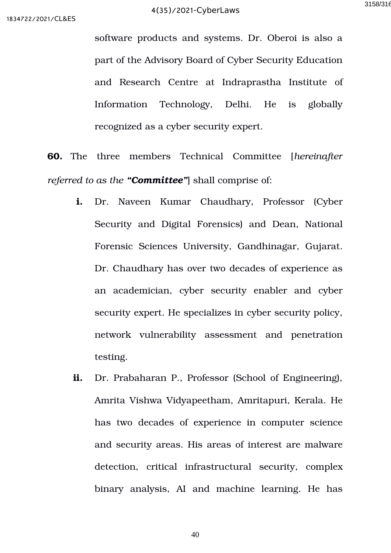software products and systems. Dr. Oberoi is also a part of the Advisory Board of Cyber Security Education and Research Centre at Indraprastha Institute of Information Technology, Delhi. He is globally recognized as a cyber security expert.

**60.** The three members Technical Committee [*hereinafter referred to as the "Committee"*] shall comprise of:

- **i.** Dr. Naveen Kumar Chaudhary, Professor (Cyber Security and Digital Forensics) and Dean, National Forensic Sciences University, Gandhinagar, Gujarat. Dr. Chaudhary has over two decades of experience as an academician, cyber security enabler and cyber security expert. He specializes in cyber security policy, network vulnerability assessment and penetration testing.
- **ii.** Dr. Prabaharan P., Professor (School of Engineering), Amrita Vishwa Vidyapeetham, Amritapuri, Kerala. He has two decades of experience in computer science and security areas. His areas of interest are malware detection, critical infrastructural security, complex binary analysis, AI and machine learning. He has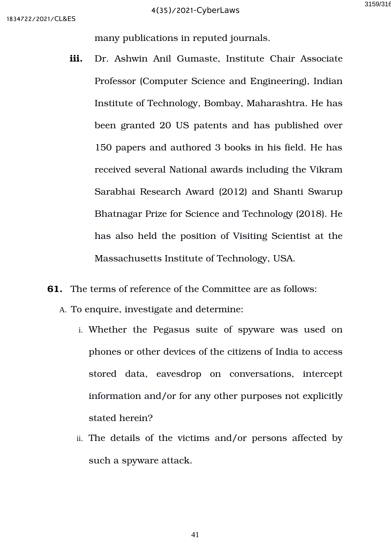many publications in reputed journals.

- **iii.** Dr. Ashwin Anil Gumaste, Institute Chair Associate Professor (Computer Science and Engineering), Indian Institute of Technology, Bombay, Maharashtra. He has been granted 20 US patents and has published over 150 papers and authored 3 books in his field. He has received several National awards including the Vikram Sarabhai Research Award (2012) and Shanti Swarup Bhatnagar Prize for Science and Technology (2018). He has also held the position of Visiting Scientist at the Massachusetts Institute of Technology, USA.
- **61.** The terms of reference of the Committee are as follows:
	- A. To enquire, investigate and determine:
		- i. Whether the Pegasus suite of spyware was used on phones or other devices of the citizens of India to access stored data, eavesdrop on conversations, intercept information and/or for any other purposes not explicitly stated herein?
		- ii. The details of the victims and/or persons affected by such a spyware attack.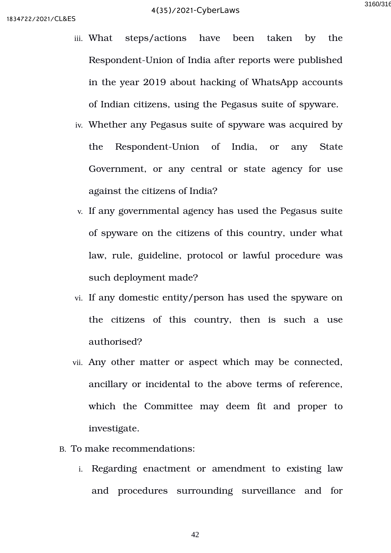- iii. What steps/actions have been taken by the Respondent-Union of India after reports were published in the year 2019 about hacking of WhatsApp accounts of Indian citizens, using the Pegasus suite of spyware.
- iv. Whether any Pegasus suite of spyware was acquired by the Respondent-Union of India, or any State Government, or any central or state agency for use against the citizens of India?
- v. If any governmental agency has used the Pegasus suite of spyware on the citizens of this country, under what law, rule, guideline, protocol or lawful procedure was such deployment made?
- vi. If any domestic entity/person has used the spyware on the citizens of this country, then is such a use authorised?
- vii. Any other matter or aspect which may be connected, ancillary or incidental to the above terms of reference, which the Committee may deem fit and proper to investigate.
- B. To make recommendations:
	- i. Regarding enactment or amendment to existing law and procedures surrounding surveillance and for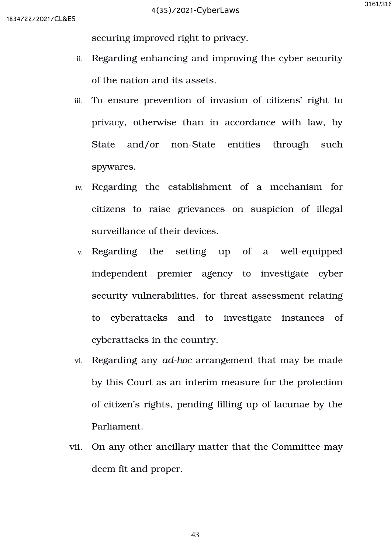securing improved right to privacy.

- ii. Regarding enhancing and improving the cyber security of the nation and its assets.
- iii. To ensure prevention of invasion of citizens' right to privacy, otherwise than in accordance with law, by State and/or non-State entities through such spywares.
- iv. Regarding the establishment of a mechanism for citizens to raise grievances on suspicion of illegal surveillance of their devices.
- v. Regarding the setting up of a well-equipped independent premier agency to investigate cyber security vulnerabilities, for threat assessment relating to cyberattacks and to investigate instances of cyberattacks in the country.
- vi. Regarding any *ad-hoc* arrangement that may be made by this Court as an interim measure for the protection of citizen's rights, pending filling up of lacunae by the Parliament.
- vii. On any other ancillary matter that the Committee may deem fit and proper.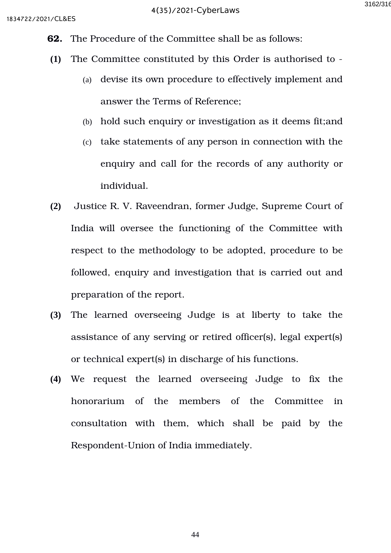- **62.** The Procedure of the Committee shall be as follows:
- **(1)** The Committee constituted by this Order is authorised to
	- (a) devise its own procedure to effectively implement and answer the Terms of Reference;
	- (b) hold such enquiry or investigation as it deems fit;and
	- (c) take statements of any person in connection with the enquiry and call for the records of any authority or individual.
- **(2)** Justice R. V. Raveendran, former Judge, Supreme Court of India will oversee the functioning of the Committee with respect to the methodology to be adopted, procedure to be followed, enquiry and investigation that is carried out and preparation of the report.
- **(3)** The learned overseeing Judge is at liberty to take the assistance of any serving or retired officer(s), legal expert(s) or technical expert(s) in discharge of his functions.
- **(4)** We request the learned overseeing Judge to fix the honorarium of the members of the Committee in consultation with them, which shall be paid by the Respondent-Union of India immediately.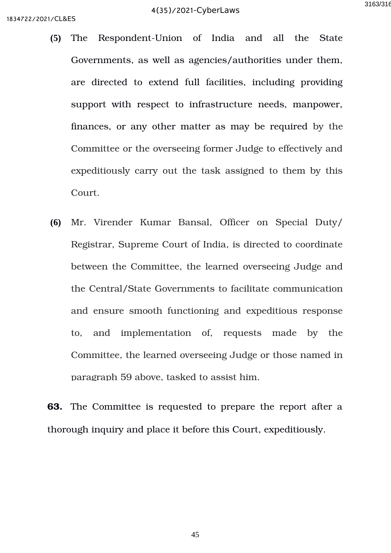- **(5)** The Respondent-Union of India and all the State Governments, as well as agencies/authorities under them, are directed to extend full facilities, including providing support with respect to infrastructure needs, manpower, finances, or any other matter as may be required by the Committee or the overseeing former Judge to effectively and expeditiously carry out the task assigned to them by this Court.
- **(6)** Mr. Virender Kumar Bansal, Officer on Special Duty/ Registrar, Supreme Court of India, is directed to coordinate between the Committee, the learned overseeing Judge and the Central/State Governments to facilitate communication and ensure smooth functioning and expeditious response to, and implementation of, requests made by the Committee, the learned overseeing Judge or those named in paragraph 59 above, tasked to assist him.

**63.** The Committee is requested to prepare the report after a thorough inquiry and place it before this Court, expeditiously.